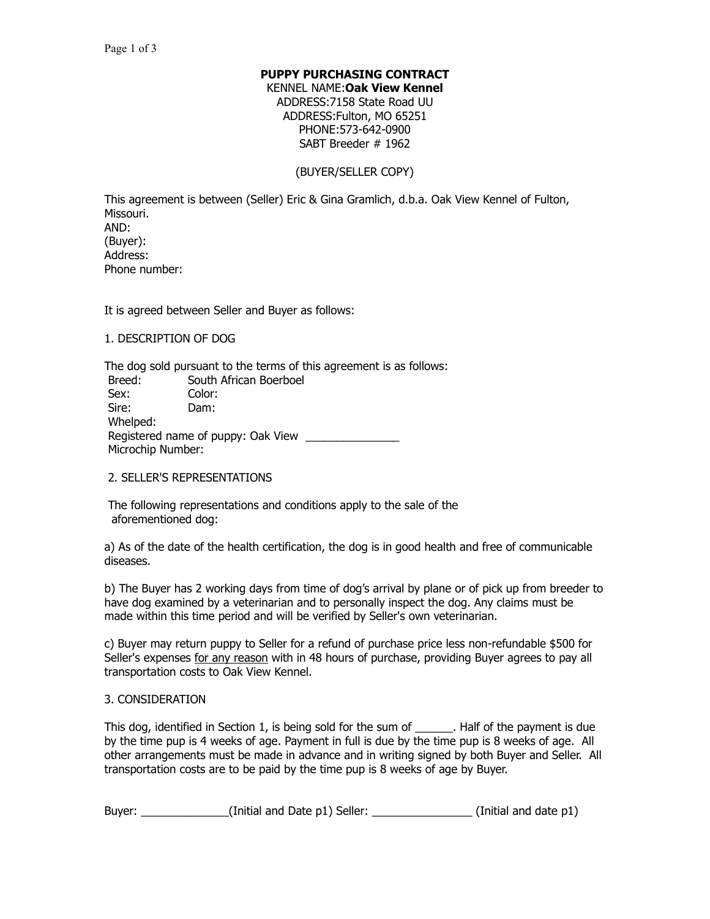## **PUPPY PURCHASING CONTRACT**

KENNEL NAME:**Oak View Kennel** ADDRESS:7158 State Road UU ADDRESS:Fulton, MO 65251 PHONE:573-642-0900 SABT Breeder # 1962

#### (BUYER/SELLER COPY)

This agreement is between (Seller) Eric & Gina Gramlich, d.b.a. Oak View Kennel of Fulton, Missouri. AND: (Buyer): Address: Phone number:

It is agreed between Seller and Buyer as follows:

# 1. DESCRIPTION OF DOG

The dog sold pursuant to the terms of this agreement is as follows: Breed: South African Boerboel Sex: Color: Sire: Dam: Whelped: Registered name of puppy: Oak View Microchip Number:

#### 2. SELLER'S REPRESENTATIONS

 The following representations and conditions apply to the sale of the aforementioned dog:

a) As of the date of the health certification, the dog is in good health and free of communicable diseases.

b) The Buyer has 2 working days from time of dog's arrival by plane or of pick up from breeder to have dog examined by a veterinarian and to personally inspect the dog. Any claims must be made within this time period and will be verified by Seller's own veterinarian.

c) Buyer may return puppy to Seller for a refund of purchase price less non-refundable \$500 for Seller's expenses for any reason with in 48 hours of purchase, providing Buyer agrees to pay all transportation costs to Oak View Kennel.

#### 3. CONSIDERATION

This dog, identified in Section 1, is being sold for the sum of \_\_\_\_\_\_. Half of the payment is due by the time pup is 4 weeks of age. Payment in full is due by the time pup is 8 weeks of age. All other arrangements must be made in advance and in writing signed by both Buyer and Seller. All transportation costs are to be paid by the time pup is 8 weeks of age by Buyer.

| Buyer: | (Initial and Date p1) Seller: |  | (Initial and date p1) |  |
|--------|-------------------------------|--|-----------------------|--|
|--------|-------------------------------|--|-----------------------|--|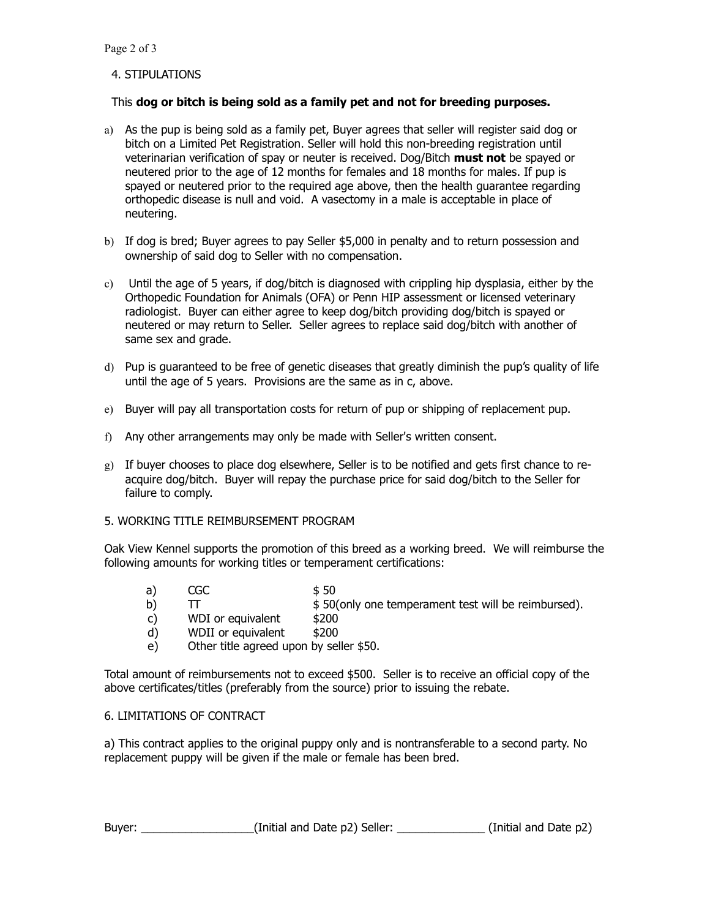# 4. STIPULATIONS

# This **dog or bitch is being sold as a family pet and not for breeding purposes.**

- a) As the pup is being sold as a family pet, Buyer agrees that seller will register said dog or bitch on a Limited Pet Registration. Seller will hold this non-breeding registration until veterinarian verification of spay or neuter is received. Dog/Bitch **must not** be spayed or neutered prior to the age of 12 months for females and 18 months for males. If pup is spayed or neutered prior to the required age above, then the health guarantee regarding orthopedic disease is null and void. A vasectomy in a male is acceptable in place of neutering.
- b) If dog is bred; Buyer agrees to pay Seller \$5,000 in penalty and to return possession and ownership of said dog to Seller with no compensation.
- c) Until the age of 5 years, if dog/bitch is diagnosed with crippling hip dysplasia, either by the Orthopedic Foundation for Animals (OFA) or Penn HIP assessment or licensed veterinary radiologist. Buyer can either agree to keep dog/bitch providing dog/bitch is spayed or neutered or may return to Seller. Seller agrees to replace said dog/bitch with another of same sex and grade.
- d) Pup is guaranteed to be free of genetic diseases that greatly diminish the pup's quality of life until the age of 5 years. Provisions are the same as in c, above.
- e) Buyer will pay all transportation costs for return of pup or shipping of replacement pup.
- f) Any other arrangements may only be made with Seller's written consent.
- g) If buyer chooses to place dog elsewhere, Seller is to be notified and gets first chance to reacquire dog/bitch. Buyer will repay the purchase price for said dog/bitch to the Seller for failure to comply.

#### 5. WORKING TITLE REIMBURSEMENT PROGRAM

Oak View Kennel supports the promotion of this breed as a working breed. We will reimburse the following amounts for working titles or temperament certifications:

- a) CGC \$50 b) TT  $\bullet$  \$ 50(only one temperament test will be reimbursed).
- c) WDI or equivalent \$200
- d) WDII or equivalent \$200
- e) Other title agreed upon by seller \$50.

Total amount of reimbursements not to exceed \$500. Seller is to receive an official copy of the above certificates/titles (preferably from the source) prior to issuing the rebate.

# 6. LIMITATIONS OF CONTRACT

a) This contract applies to the original puppy only and is nontransferable to a second party. No replacement puppy will be given if the male or female has been bred.

| Buyer: | (Initial and Date p2) Seller: | (Initial and Date p2) |  |
|--------|-------------------------------|-----------------------|--|
|--------|-------------------------------|-----------------------|--|